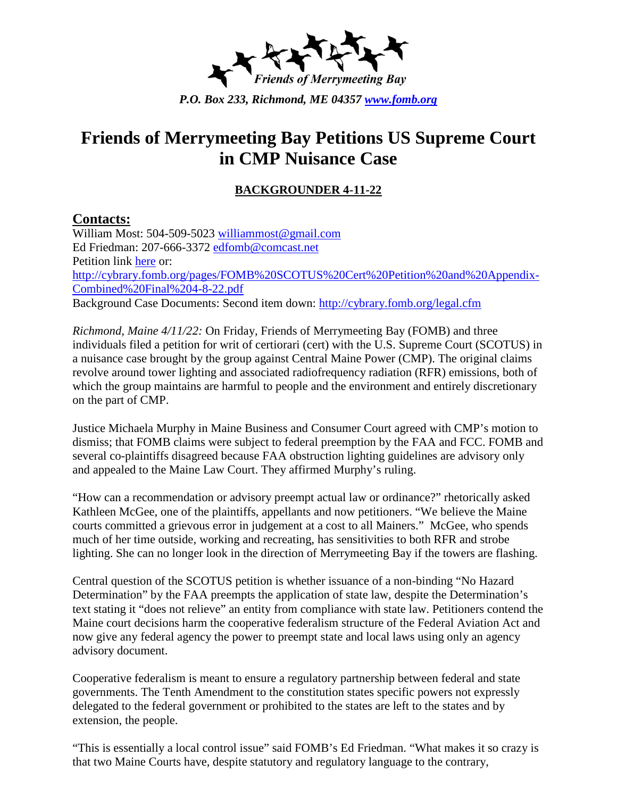

## **Friends of Merrymeeting Bay Petitions US Supreme Court in CMP Nuisance Case**

## **BACKGROUNDER 4-11-22**

## **Contacts:**

William Most: 504-509-5023 [williammost@gmail.com](mailto:williammost@gmail.com) Ed Friedman: 207-666-3372 [edfomb@comcast.net](mailto:edfomb@comcast.net) Petition link [here](http://cybrary.fomb.org/pages/FOMB%20SCOTUS%20Cert%20Petition%20and%20Appendix-Combined%20Final%204-8-22.pdf) or: [http://cybrary.fomb.org/pages/FOMB%20SCOTUS%20Cert%20Petition%20and%20Appendix-](http://cybrary.fomb.org/pages/FOMB%20SCOTUS%20Cert%20Petition%20and%20Appendix-Combined%20Final%204-8-22.pdf)[Combined%20Final%204-8-22.pdf](http://cybrary.fomb.org/pages/FOMB%20SCOTUS%20Cert%20Petition%20and%20Appendix-Combined%20Final%204-8-22.pdf) Background Case Documents: Second item down:<http://cybrary.fomb.org/legal.cfm>

*Richmond, Maine 4/11/22:* On Friday, Friends of Merrymeeting Bay (FOMB) and three individuals filed a petition for writ of certiorari (cert) with the U.S. Supreme Court (SCOTUS) in a nuisance case brought by the group against Central Maine Power (CMP). The original claims revolve around tower lighting and associated radiofrequency radiation (RFR) emissions, both of which the group maintains are harmful to people and the environment and entirely discretionary on the part of CMP.

Justice Michaela Murphy in Maine Business and Consumer Court agreed with CMP's motion to dismiss; that FOMB claims were subject to federal preemption by the FAA and FCC. FOMB and several co-plaintiffs disagreed because FAA obstruction lighting guidelines are advisory only and appealed to the Maine Law Court. They affirmed Murphy's ruling.

"How can a recommendation or advisory preempt actual law or ordinance?" rhetorically asked Kathleen McGee, one of the plaintiffs, appellants and now petitioners. "We believe the Maine courts committed a grievous error in judgement at a cost to all Mainers." McGee, who spends much of her time outside, working and recreating, has sensitivities to both RFR and strobe lighting. She can no longer look in the direction of Merrymeeting Bay if the towers are flashing.

Central question of the SCOTUS petition is whether issuance of a non-binding "No Hazard Determination" by the FAA preempts the application of state law, despite the Determination's text stating it "does not relieve" an entity from compliance with state law. Petitioners contend the Maine court decisions harm the cooperative federalism structure of the Federal Aviation Act and now give any federal agency the power to preempt state and local laws using only an agency advisory document.

Cooperative federalism is meant to ensure a regulatory partnership between federal and state governments. The Tenth Amendment to the constitution states specific powers not expressly delegated to the federal government or prohibited to the states are left to the states and by extension, the people.

"This is essentially a local control issue" said FOMB's Ed Friedman. "What makes it so crazy is that two Maine Courts have, despite statutory and regulatory language to the contrary,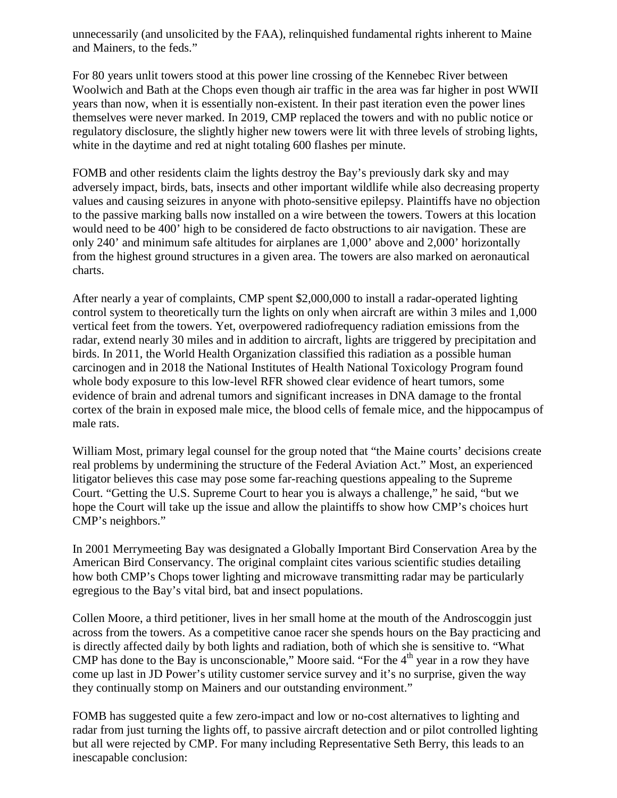unnecessarily (and unsolicited by the FAA), relinquished fundamental rights inherent to Maine and Mainers, to the feds."

For 80 years unlit towers stood at this power line crossing of the Kennebec River between Woolwich and Bath at the Chops even though air traffic in the area was far higher in post WWII years than now, when it is essentially non-existent. In their past iteration even the power lines themselves were never marked. In 2019, CMP replaced the towers and with no public notice or regulatory disclosure, the slightly higher new towers were lit with three levels of strobing lights, white in the daytime and red at night totaling 600 flashes per minute.

FOMB and other residents claim the lights destroy the Bay's previously dark sky and may adversely impact, birds, bats, insects and other important wildlife while also decreasing property values and causing seizures in anyone with photo-sensitive epilepsy. Plaintiffs have no objection to the passive marking balls now installed on a wire between the towers. Towers at this location would need to be 400' high to be considered de facto obstructions to air navigation. These are only 240' and minimum safe altitudes for airplanes are 1,000' above and 2,000' horizontally from the highest ground structures in a given area. The towers are also marked on aeronautical charts.

After nearly a year of complaints, CMP spent \$2,000,000 to install a radar-operated lighting control system to theoretically turn the lights on only when aircraft are within 3 miles and 1,000 vertical feet from the towers. Yet, overpowered radiofrequency radiation emissions from the radar, extend nearly 30 miles and in addition to aircraft, lights are triggered by precipitation and birds. In 2011, the World Health Organization classified this radiation as a possible human carcinogen and in 2018 the National Institutes of Health National Toxicology Program found whole body exposure to this low-level RFR showed clear evidence of heart tumors, some evidence of brain and adrenal tumors and significant increases in DNA damage to the frontal cortex of the brain in exposed male mice, the blood cells of female mice, and the hippocampus of male rats.

William Most, primary legal counsel for the group noted that "the Maine courts' decisions create real problems by undermining the structure of the Federal Aviation Act." Most, an experienced litigator believes this case may pose some far-reaching questions appealing to the Supreme Court. "Getting the U.S. Supreme Court to hear you is always a challenge," he said, "but we hope the Court will take up the issue and allow the plaintiffs to show how CMP's choices hurt CMP's neighbors."

In 2001 Merrymeeting Bay was designated a Globally Important Bird Conservation Area by the American Bird Conservancy. The original complaint cites various scientific studies detailing how both CMP's Chops tower lighting and microwave transmitting radar may be particularly egregious to the Bay's vital bird, bat and insect populations.

Collen Moore, a third petitioner, lives in her small home at the mouth of the Androscoggin just across from the towers. As a competitive canoe racer she spends hours on the Bay practicing and is directly affected daily by both lights and radiation, both of which she is sensitive to. "What CMP has done to the Bay is unconscionable," Moore said. "For the  $4<sup>th</sup>$  year in a row they have come up last in JD Power's utility customer service survey and it's no surprise, given the way they continually stomp on Mainers and our outstanding environment."

FOMB has suggested quite a few zero-impact and low or no-cost alternatives to lighting and radar from just turning the lights off, to passive aircraft detection and or pilot controlled lighting but all were rejected by CMP. For many including Representative Seth Berry, this leads to an inescapable conclusion: